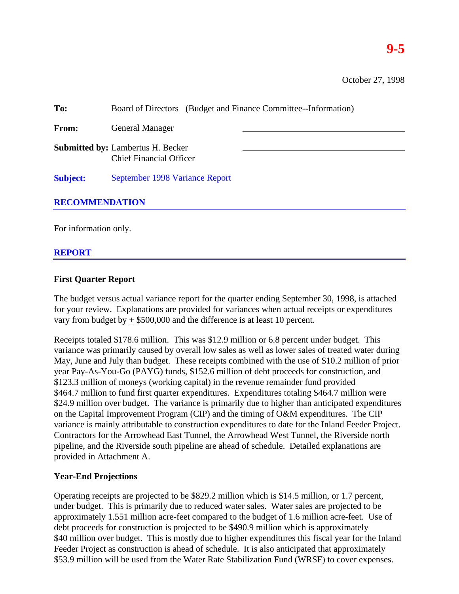| To:                   | Board of Directors (Budget and Finance Committee--Information)             |  |  |  |  |  |  |
|-----------------------|----------------------------------------------------------------------------|--|--|--|--|--|--|
| <b>From:</b>          | <b>General Manager</b>                                                     |  |  |  |  |  |  |
|                       | <b>Submitted by: Lambertus H. Becker</b><br><b>Chief Financial Officer</b> |  |  |  |  |  |  |
| <b>Subject:</b>       | September 1998 Variance Report                                             |  |  |  |  |  |  |
| <b>RECOMMENDATION</b> |                                                                            |  |  |  |  |  |  |
|                       |                                                                            |  |  |  |  |  |  |

For information only.

# **REPORT**

# **First Quarter Report**

The budget versus actual variance report for the quarter ending September 30, 1998, is attached for your review. Explanations are provided for variances when actual receipts or expenditures vary from budget by  $\pm$  \$500,000 and the difference is at least 10 percent.

Receipts totaled \$178.6 million. This was \$12.9 million or 6.8 percent under budget. This variance was primarily caused by overall low sales as well as lower sales of treated water during May, June and July than budget. These receipts combined with the use of \$10.2 million of prior year Pay-As-You-Go (PAYG) funds, \$152.6 million of debt proceeds for construction, and \$123.3 million of moneys (working capital) in the revenue remainder fund provided \$464.7 million to fund first quarter expenditures. Expenditures totaling \$464.7 million were \$24.9 million over budget. The variance is primarily due to higher than anticipated expenditures on the Capital Improvement Program (CIP) and the timing of O&M expenditures. The CIP variance is mainly attributable to construction expenditures to date for the Inland Feeder Project. Contractors for the Arrowhead East Tunnel, the Arrowhead West Tunnel, the Riverside north pipeline, and the Riverside south pipeline are ahead of schedule. Detailed explanations are provided in Attachment A.

# **Year-End Projections**

Operating receipts are projected to be \$829.2 million which is \$14.5 million, or 1.7 percent, under budget. This is primarily due to reduced water sales. Water sales are projected to be approximately 1.551 million acre-feet compared to the budget of 1.6 million acre-feet. Use of debt proceeds for construction is projected to be \$490.9 million which is approximately \$40 million over budget. This is mostly due to higher expenditures this fiscal year for the Inland Feeder Project as construction is ahead of schedule. It is also anticipated that approximately \$53.9 million will be used from the Water Rate Stabilization Fund (WRSF) to cover expenses.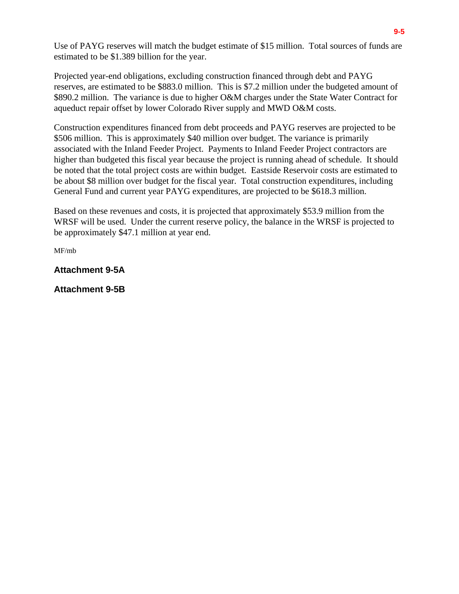Use of PAYG reserves will match the budget estimate of \$15 million. Total sources of funds are estimated to be \$1.389 billion for the year.

Projected year-end obligations, excluding construction financed through debt and PAYG reserves, are estimated to be \$883.0 million. This is \$7.2 million under the budgeted amount of \$890.2 million. The variance is due to higher O&M charges under the State Water Contract for aqueduct repair offset by lower Colorado River supply and MWD O&M costs.

Construction expenditures financed from debt proceeds and PAYG reserves are projected to be \$506 million. This is approximately \$40 million over budget. The variance is primarily associated with the Inland Feeder Project. Payments to Inland Feeder Project contractors are higher than budgeted this fiscal year because the project is running ahead of schedule. It should be noted that the total project costs are within budget. Eastside Reservoir costs are estimated to be about \$8 million over budget for the fiscal year. Total construction expenditures, including General Fund and current year PAYG expenditures, are projected to be \$618.3 million.

Based on these revenues and costs, it is projected that approximately \$53.9 million from the WRSF will be used. Under the current reserve policy, the balance in the WRSF is projected to be approximately \$47.1 million at year end.

MF/mb

**Attachment 9-5A**

**Attachment 9-5B**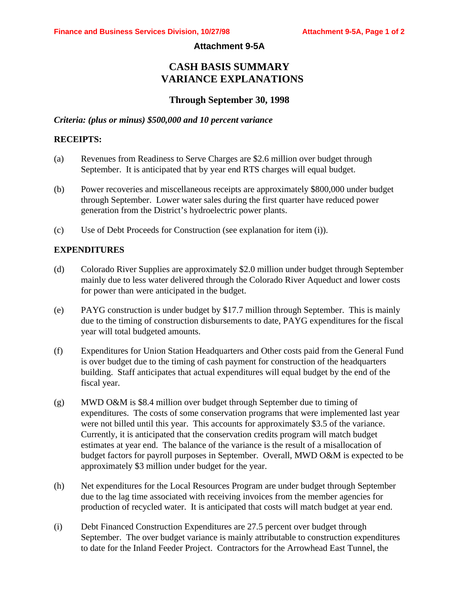#### **Attachment 9-5A**

# **CASH BASIS SUMMARY VARIANCE EXPLANATIONS**

# **Through September 30, 1998**

#### *Criteria: (plus or minus) \$500,000 and 10 percent variance*

#### **RECEIPTS:**

- (a) Revenues from Readiness to Serve Charges are \$2.6 million over budget through September. It is anticipated that by year end RTS charges will equal budget.
- (b) Power recoveries and miscellaneous receipts are approximately \$800,000 under budget through September. Lower water sales during the first quarter have reduced power generation from the District's hydroelectric power plants.
- (c) Use of Debt Proceeds for Construction (see explanation for item (i)).

### **EXPENDITURES**

- (d) Colorado River Supplies are approximately \$2.0 million under budget through September mainly due to less water delivered through the Colorado River Aqueduct and lower costs for power than were anticipated in the budget.
- (e) PAYG construction is under budget by \$17.7 million through September. This is mainly due to the timing of construction disbursements to date, PAYG expenditures for the fiscal year will total budgeted amounts.
- (f) Expenditures for Union Station Headquarters and Other costs paid from the General Fund is over budget due to the timing of cash payment for construction of the headquarters building. Staff anticipates that actual expenditures will equal budget by the end of the fiscal year.
- (g) MWD O&M is \$8.4 million over budget through September due to timing of expenditures. The costs of some conservation programs that were implemented last year were not billed until this year. This accounts for approximately \$3.5 of the variance. Currently, it is anticipated that the conservation credits program will match budget estimates at year end. The balance of the variance is the result of a misallocation of budget factors for payroll purposes in September. Overall, MWD O&M is expected to be approximately \$3 million under budget for the year.
- (h) Net expenditures for the Local Resources Program are under budget through September due to the lag time associated with receiving invoices from the member agencies for production of recycled water. It is anticipated that costs will match budget at year end.
- (i) Debt Financed Construction Expenditures are 27.5 percent over budget through September. The over budget variance is mainly attributable to construction expenditures to date for the Inland Feeder Project. Contractors for the Arrowhead East Tunnel, the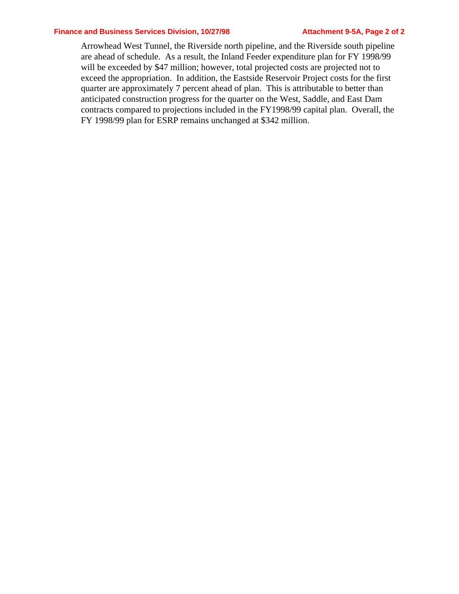#### **Finance and Business Services Division, 10/27/98 Attachment 9-5A, Page 2 of 2**

Arrowhead West Tunnel, the Riverside north pipeline, and the Riverside south pipeline are ahead of schedule. As a result, the Inland Feeder expenditure plan for FY 1998/99 will be exceeded by \$47 million; however, total projected costs are projected not to exceed the appropriation. In addition, the Eastside Reservoir Project costs for the first quarter are approximately 7 percent ahead of plan. This is attributable to better than anticipated construction progress for the quarter on the West, Saddle, and East Dam contracts compared to projections included in the FY1998/99 capital plan. Overall, the FY 1998/99 plan for ESRP remains unchanged at \$342 million.